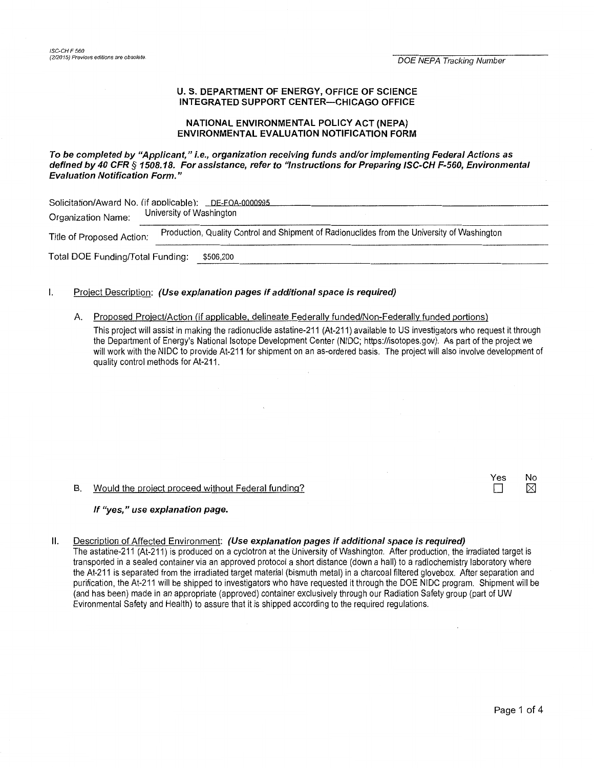# **U.S. DEPARTMENT OF ENERGY, OFFICE OF SCIENCE INTEGRATED SUPPORT CENTER-CHICAGO OFFICE**

### **NATIONAL ENVIRONMENTAL POLICY ACT (NEPA) ENVIRONMENTAL EVALUATION NOTIFICATION FORM**

**To be completed by "Applicant," i.e., organization receiving funds and/or implementing Federal Actions as defined by 40 CFR** *§* **1508.18. For assistance, refer to "Instructions for Preparing ISC-CH F-560, Environmental Evaluation Notification Form."** 

| Solicitation/Award No. (if applicable): DE-FOA-0000995<br>University of Washington<br>Organization Name: |                                                                                             |  |  |  |  |  |
|----------------------------------------------------------------------------------------------------------|---------------------------------------------------------------------------------------------|--|--|--|--|--|
| Title of Proposed Action:                                                                                | Production, Quality Control and Shipment of Radionuclides from the University of Washington |  |  |  |  |  |
| Total DOE Funding/Total Funding:                                                                         | \$506,200                                                                                   |  |  |  |  |  |

# I. Project Description: **(Use explanation pages if additional space is required)**

#### A. Proposed Project/Action (if applicable, delineate Federally funded/Non-Federally funded portions)

This project will assist in making the radionuclide astatine-211 (At-211) available to US investigators who request it through the Department of Energy's National Isotope Development Center (NIDC; https://isotopes.gov). As part of the project we will work with the NIDC to provide At-211 for shipment on an as-ordered basis. The project will also involve development of quality control methods for At-211.

### B. Would the project proceed without Federal funding?

### **If "yes," use explanation page.**

### II. Description of Affected Environment: **(Use explanation pages if additional space is required)**

The astatine-211 (At-211) is produced on a cyclotron at the University of Washington. After production, the irradiated target is transported in a sealed container via an approved protocol a short distance (down a hall) to a radiochemistry laboratory where the At-211 is separated from the irradiated target material (bismuth metal) in a charcoal filtered glovebox. After separation and purification, the At-211 will be shipped to investigators who have requested it through the DOE NIDC program. Shipment will be (and has been) made in an appropriate (approved) container exclusively through our Radiation Safety group (part of UW Evironmental Safety and Health) to assure that it is shipped according to the required regulations.

Yes No<br>□ ⊠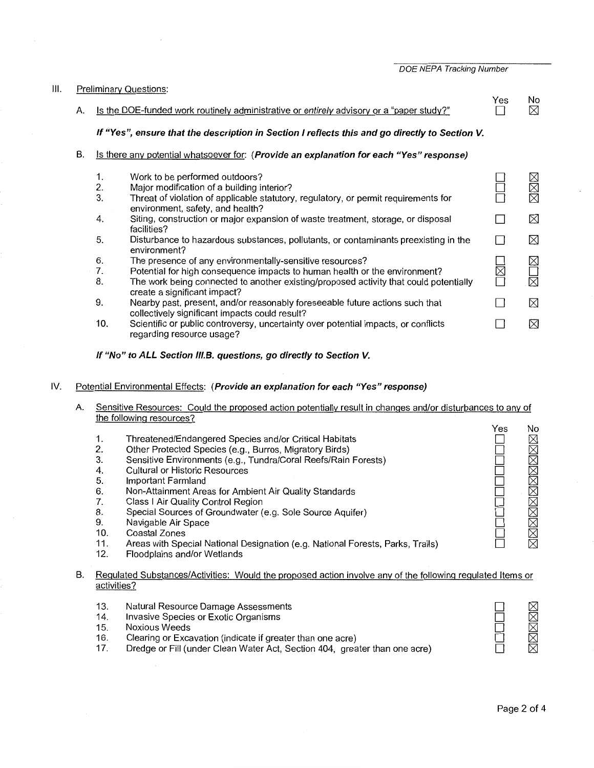DOE NEPA Tracking Number

| III. |    | <b>Preliminary Questions:</b><br>Yes<br>No                                                     |                                                                                                                                                                                                                                                                 |   |                  |  |  |
|------|----|------------------------------------------------------------------------------------------------|-----------------------------------------------------------------------------------------------------------------------------------------------------------------------------------------------------------------------------------------------------------------|---|------------------|--|--|
|      | А. | Is the DOE-funded work routinely administrative or entirely advisory or a "paper study?"       |                                                                                                                                                                                                                                                                 |   |                  |  |  |
|      |    | If "Yes", ensure that the description in Section I reflects this and go directly to Section V. |                                                                                                                                                                                                                                                                 |   |                  |  |  |
|      | В. |                                                                                                | Is there any potential whatsoever for: (Provide an explanation for each "Yes" response)                                                                                                                                                                         |   |                  |  |  |
|      |    | 1.<br>2.<br>3.                                                                                 | Work to be performed outdoors?<br>Major modification of a building interior?<br>Threat of violation of applicable statutory, regulatory, or permit requirements for                                                                                             |   | MMK              |  |  |
|      |    | 4.                                                                                             | environment, safety, and health?<br>Siting, construction or major expansion of waste treatment, storage, or disposal<br>facilities?                                                                                                                             |   | ⊠                |  |  |
|      |    | 5.                                                                                             | Disturbance to hazardous substances, pollutants, or contaminants preexisting in the<br>environment?                                                                                                                                                             |   | ⊠                |  |  |
|      |    | 6.<br>7.<br>8.                                                                                 | The presence of any environmentally-sensitive resources?<br>Potential for high consequence impacts to human health or the environment?<br>The work being connected to another existing/proposed activity that could potentially<br>create a significant impact? | M | $\boxtimes$<br>⊠ |  |  |
|      |    | 9.                                                                                             | Nearby past, present, and/or reasonably foreseeable future actions such that<br>collectively significant impacts could result?                                                                                                                                  |   | ⊠                |  |  |
|      |    | 10.                                                                                            | Scientific or public controversy, uncertainty over potential impacts, or conflicts<br>regarding resource usage?                                                                                                                                                 |   | ⊠                |  |  |

### If "No" to ALL Section III.B. questions, go directly to Section V.

#### IV. Potential Environmental Effects: (Provide an explanation for each "Yes" response)

- A. Sensitive Resources: Could the proposed action potentially result in changes and/or disturbances to any of the following resources?
- Yes No 1. Threatened/Endangered Species and/or Critical Habitats  $\square$ **NNNNNNNNNNN** 2. Other Protected Species (e.g., Burros, Migratory Birds) D 3. Sensitive Environments (e.g., Tundra/Coral Reefs/Rain Forests) D 4. Cultural or Historic Resources  $\Box$ Important Farmland 5.  $\square$ 6. Non-Attainment Areas for Ambient Air Quality Standards  $\square$ 7. Class I Air Quality Control Region D 8. Special Sources of Groundwater (e.g. Sole Source Aquifer) D Navigable Air Space 9.  $\Box$ 10. Coastal Zones  $\Box$ 11. Areas with Special National Designation (e.g. National Forests, Parks, Trails)  $\Box$ 12. Floodplains and/or Wetlands

# B. Regulated Substances/Activities: Would the proposed action involve any of the following regulated Items or activities?

- 13. Natural Resource Damage Assessments
- 14. Invasive Species or Exotic Organisms
- 15. Noxious Weeds
- 16. Clearing or Excavation (indicate if greater than one acre)
- 17. Dredge or Fill (under Clean Water Act, Section 404, greater than one acre)

MMMMM

D  $\Box$ D D D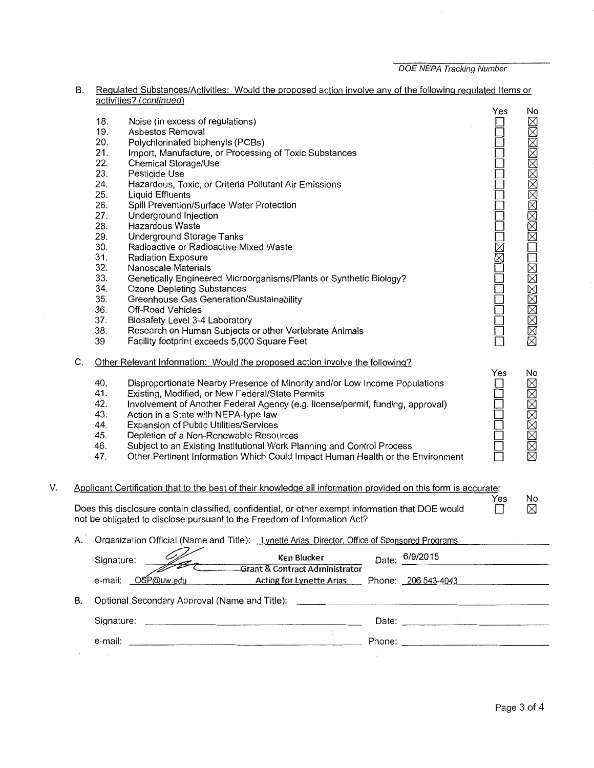|    | В. |                                                                                                                                                                                                                                                                                                                                                                                                                                                                                                                                                                                                                                                                                                                                                                                                                                                                                                                                                                                                                                                                                                                                                                                                 |                                                                                                                                                                                                                  |                     |                |  |  |
|----|----|-------------------------------------------------------------------------------------------------------------------------------------------------------------------------------------------------------------------------------------------------------------------------------------------------------------------------------------------------------------------------------------------------------------------------------------------------------------------------------------------------------------------------------------------------------------------------------------------------------------------------------------------------------------------------------------------------------------------------------------------------------------------------------------------------------------------------------------------------------------------------------------------------------------------------------------------------------------------------------------------------------------------------------------------------------------------------------------------------------------------------------------------------------------------------------------------------|------------------------------------------------------------------------------------------------------------------------------------------------------------------------------------------------------------------|---------------------|----------------|--|--|
|    | C. | Regulated Substances/Activities: Would the proposed action involve any of the following regulated Items or<br>activities? (continued)<br>18.<br>Noise (in excess of regulations)<br>19.<br>Asbestos Removal<br>20.<br>Polychlorinated biphenyls (PCBs)<br>21.<br>Import, Manufacture, or Processing of Toxic Substances<br>22.<br>Chemical Storage/Use<br>23.<br>Pesticide Use<br>24.<br>Hazardous, Toxic, or Criteria Pollutant Air Emissions<br>25.<br>Liquid Effluents<br>26.<br>Spill Prevention/Surface Water Protection<br>27.<br>Underground Injection<br>28.<br>Hazardous Waste<br>29.<br>Underground Storage Tanks<br>30.<br>Radioactive or Radioactive Mixed Waste<br>31.<br><b>Radiation Exposure</b><br>32.<br>Nanoscale Materials<br>33.<br>Genetically Engineered Microorganisms/Plants or Synthetic Biology?<br>34.<br>Ozone Depleting Substances<br>35.<br>Greenhouse Gas Generation/Sustainability<br>36.<br>Off-Road Vehicles<br>37.<br>Biosafety Level 3-4 Laboratory<br>38.<br>Research on Human Subjects or other Vertebrate Animals<br>39<br>Facility footprint exceeds 5,000 Square Feet<br>Other Relevant Information: Would the proposed action involve the following? |                                                                                                                                                                                                                  |                     |                |  |  |
|    |    | 41.<br>42.                                                                                                                                                                                                                                                                                                                                                                                                                                                                                                                                                                                                                                                                                                                                                                                                                                                                                                                                                                                                                                                                                                                                                                                      | Disproportionate Nearby Presence of Minority and/or Low Income Populations<br>Existing, Modified, or New Federal/State Permits<br>Involvement of Another Federal Agency (e.g. license/permit, funding, approval) |                     | <b>N⊠⊠⊠⊠⊠⊠</b> |  |  |
|    |    | 43.                                                                                                                                                                                                                                                                                                                                                                                                                                                                                                                                                                                                                                                                                                                                                                                                                                                                                                                                                                                                                                                                                                                                                                                             | Action in a State with NEPA-type law                                                                                                                                                                             |                     |                |  |  |
|    |    | 44.                                                                                                                                                                                                                                                                                                                                                                                                                                                                                                                                                                                                                                                                                                                                                                                                                                                                                                                                                                                                                                                                                                                                                                                             | Expansion of Public Utilities/Services                                                                                                                                                                           |                     |                |  |  |
|    |    | 45.                                                                                                                                                                                                                                                                                                                                                                                                                                                                                                                                                                                                                                                                                                                                                                                                                                                                                                                                                                                                                                                                                                                                                                                             | Depletion of a Non-Renewable Resources                                                                                                                                                                           |                     |                |  |  |
|    |    | 46.<br>47.                                                                                                                                                                                                                                                                                                                                                                                                                                                                                                                                                                                                                                                                                                                                                                                                                                                                                                                                                                                                                                                                                                                                                                                      | Subject to an Existing Institutional Work Planning and Control Process<br>Other Pertinent Information Which Could Impact Human Health or the Environment                                                         |                     |                |  |  |
| V. |    |                                                                                                                                                                                                                                                                                                                                                                                                                                                                                                                                                                                                                                                                                                                                                                                                                                                                                                                                                                                                                                                                                                                                                                                                 | Applicant Certification that to the best of their knowledge all information provided on this form is accurate:                                                                                                   |                     |                |  |  |
|    |    |                                                                                                                                                                                                                                                                                                                                                                                                                                                                                                                                                                                                                                                                                                                                                                                                                                                                                                                                                                                                                                                                                                                                                                                                 | Does this disclosure contain classified, confidential, or other exempt information that DOE would<br>not be obligated to disclose pursuant to the Freedom of Information Act?                                    | Yes<br>$\mathsf{L}$ | No<br>$\times$ |  |  |
|    | А. |                                                                                                                                                                                                                                                                                                                                                                                                                                                                                                                                                                                                                                                                                                                                                                                                                                                                                                                                                                                                                                                                                                                                                                                                 | Organization Official (Name and Title): Lynette Arias, Director, Office of Sponsored Programs                                                                                                                    |                     |                |  |  |
|    |    | 6/9/2015<br>Ken Blucker<br>Date:<br>Signature:<br><b>Grant &amp; Contract Administrator</b>                                                                                                                                                                                                                                                                                                                                                                                                                                                                                                                                                                                                                                                                                                                                                                                                                                                                                                                                                                                                                                                                                                     |                                                                                                                                                                                                                  |                     |                |  |  |
|    |    |                                                                                                                                                                                                                                                                                                                                                                                                                                                                                                                                                                                                                                                                                                                                                                                                                                                                                                                                                                                                                                                                                                                                                                                                 | e-mail: OSP@uw.edu<br><b>Acting for Lynette Arias</b><br>Phone: 206 543-4043                                                                                                                                     |                     |                |  |  |
|    | В. |                                                                                                                                                                                                                                                                                                                                                                                                                                                                                                                                                                                                                                                                                                                                                                                                                                                                                                                                                                                                                                                                                                                                                                                                 | Optional Secondary Approval (Name and Title):                                                                                                                                                                    |                     |                |  |  |
|    |    | Signature:                                                                                                                                                                                                                                                                                                                                                                                                                                                                                                                                                                                                                                                                                                                                                                                                                                                                                                                                                                                                                                                                                                                                                                                      | Date:                                                                                                                                                                                                            |                     |                |  |  |

e-mail: Phone: \_\_\_\_\_\_\_\_\_\_\_\_ \_\_

 $\bar{\beta}$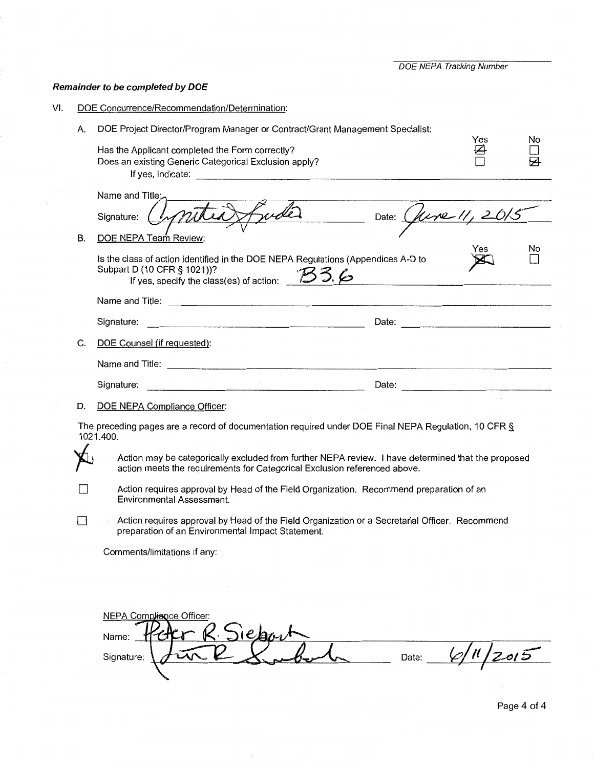DOE NEPA Tracking Number

Yes<br>□

No  $\Box$ s

# Remainder to be completed by **DOE**

B.

- VI. DOE Concurrence/Recommendation/Determination:
	- A. DOE Project Director/Program Manager or Contract/Grant Management Specialist:

Has the Applicant completed the Form correctly? Does an existing Generic Categorical Exclusion apply? D If yes, indicate: -------------------------------

|    | Name and Title:                                                                                                                                                                                                                             |                            |    |
|----|---------------------------------------------------------------------------------------------------------------------------------------------------------------------------------------------------------------------------------------------|----------------------------|----|
|    | Signature:                                                                                                                                                                                                                                  | Date: <i>(fune 11, 201</i> |    |
| В. | DOE NEPA Team Review:                                                                                                                                                                                                                       |                            |    |
|    | Is the class of action identified in the DOE NEPA Regulations (Appendices A-D to<br>Subpart D (10 CFR § 1021))?<br>If yes, specify the class(es) of action: 53, 6                                                                           | Yes                        | No |
|    | Name and Title: Name and Title:                                                                                                                                                                                                             |                            |    |
|    | Signature:<br>the control of the control of the control of the control of the control of the control of the control of the control of the control of the control of the control of the control of the control of the control of the control | Date:                      |    |
| C. | DOE Counsel (if requested):                                                                                                                                                                                                                 |                            |    |
|    | Name and Title:                                                                                                                                                                                                                             |                            |    |
|    | Signature:                                                                                                                                                                                                                                  | Date:                      |    |
|    |                                                                                                                                                                                                                                             |                            |    |

D. DOE NEPA Compliance Officer:

The preceding pages are a record of documentation required under DOE Final NEPA Regulation, 10 CFR § 1021.400.

Action may be categorically excluded from further NEPA review. I have determined that the proposed action meets the requirements for Categorical Exclusion referenced above.

D Action requires approval by Head of the Field Organization. Recommend preparation of an Environmental Assessment.

D Action requires approval by Head of the Field Organization or a Secretarial Officer. Recommend preparation of an Environmental Impact Statement.

Comments/limitations if any:

|            | <b>NEPA Compliance Officer:</b> |  |  |       |        |
|------------|---------------------------------|--|--|-------|--------|
| Name:      |                                 |  |  |       |        |
| Signature: |                                 |  |  | Date: | $\sim$ |
|            |                                 |  |  |       |        |